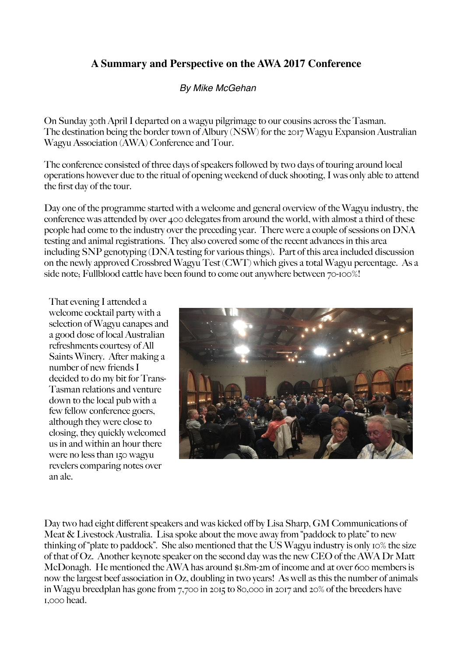## **A Summary and Perspective on the AWA 2017 Conference**

## *By Mike McGehan*

On Sunday 30th April I departed on a wagyu pilgrimage to our cousins across the Tasman. The destination being the border town of Albury (NSW) for the 2017 Wagyu Expansion Australian Wagyu Association (AWA) Conference and Tour.

The conference consisted of three days of speakers followed by two days of touring around local operations however due to the ritual of opening weekend of duck shooting, I was only able to attend the first day of the tour.

Day one of the programme started with a welcome and general overview of the Wagyu industry, the conference was attended by over 400 delegates from around the world, with almost a third of these people had come to the industry over the preceding year. There were a couple of sessions on DNA testing and animal registrations. They also covered some of the recent advances in this area including SNP genotyping (DNA testing for various things). Part of this area included discussion on the newly approved Crossbred Wagyu Test (CWT) which gives a total Wagyu percentage. As a side note; Fullblood cattle have been found to come out anywhere between  $70$ -100%!

That evening I attended a welcome cocktail party with a selection of Wagyu canapes and a good dose of local Australian refreshments courtesy of All Saints Winery. After making a number of new friends I decided to do my bit for Trans-Tasman relations and venture down to the local pub with a few fellow conference goers, although they were close to closing, they quickly welcomed us in and within an hour there were no less than 150 wagyu revelers comparing notes over an ale.



Day two had eight different speakers and was kicked off by Lisa Sharp, GM Communications of Meat & Livestock Australia. Lisa spoke about the move away from "paddock to plate" to new thinking of "plate to paddock". She also mentioned that the US Wagyu industry is only 10% the size of that of Oz. Another keynote speaker on the second day was the new CEO of the AWA Dr Matt McDonagh. He mentioned the AWA has around \$1.8m-2m of income and at over 600 members is now the largest beef association in Oz, doubling in two years! As well as this the number of animals in Wagyu breedplan has gone from 7,700 in 2015 to 80,000 in 2017 and 20% of the breeders have 1,000 head.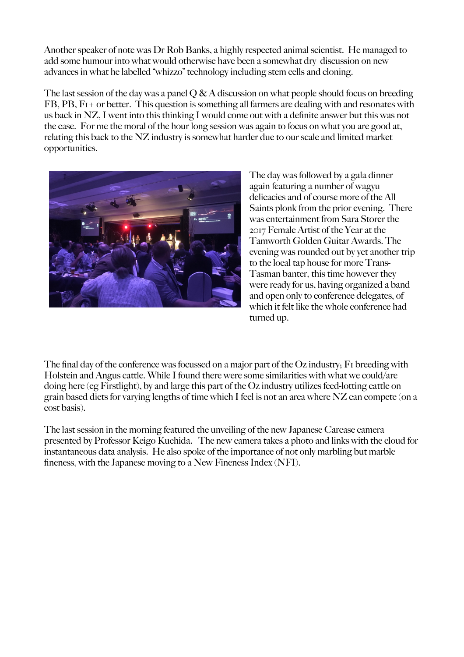Another speaker of note was Dr Rob Banks, a highly respected animal scientist. He managed to add some humour into what would otherwise have been a somewhat dry discussion on new advances in what he labelled "whizzo" technology including stem cells and cloning.

The last session of the day was a panel  $O & A$  discussion on what people should focus on breeding FB, PB, F1+ or better. This question is something all farmers are dealing with and resonates with us back in NZ, I went into this thinking I would come out with a definite answer but this was not the case. For me the moral of the hour long session was again to focus on what you are good at, relating this back to the NZ industry is somewhat harder due to our scale and limited market opportunities.



The day was followed by a gala dinner again featuring a number of wagyu delicacies and of course more of the All Saints plonk from the prior evening. There was entertainment from Sara Storer the 2017 Female Artist of the Year at the Tamworth Golden Guitar Awards. The evening was rounded out by yet another trip to the local tap house for more Trans-Tasman banter, this time however they were ready for us, having organized a band and open only to conference delegates, of which it felt like the whole conference had turned up.

The final day of the conference was focussed on a major part of the Oz industry. F<sub>I</sub> breeding with Holstein and Angus cattle. While I found there were some similarities with what we could/are doing here (eg Firstlight), by and large this part of the Oz industry utilizes feed-lotting cattle on grain based diets for varying lengths of time which I feel is not an area where NZ can compete (on a cost basis).

The last session in the morning featured the unveiling of the new Japanese Carcase camera presented by Professor Keigo Kuchida. The new camera takes a photo and links with the cloud for instantaneous data analysis. He also spoke of the importance of not only marbling but marble fineness, with the Japanese moving to a New Fineness Index (NFI).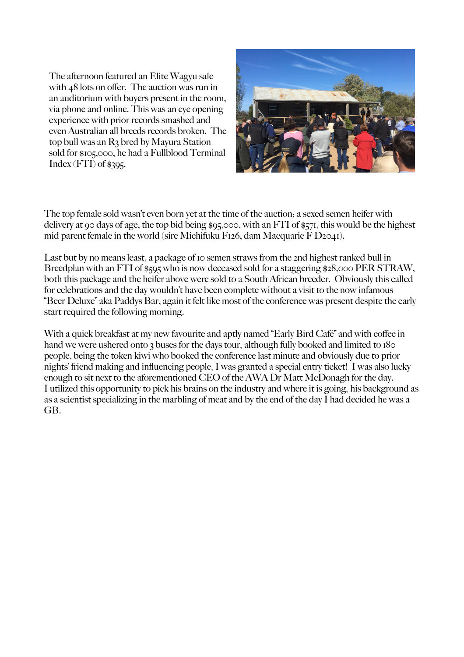The afternoon featured an Elite Wagyu sale with 48 lots on offer. The auction was run in an auditorium with buyers present in the room, via phone and online. This was an eye opening experience with prior records smashed and even Australian all breeds records broken. The top bull was an R3 bred by Mayura Station sold for \$105,000, he had a Fullblood Terminal  $Index (FTI)$  of \$395.



The top female sold wasn't even born yet at the time of the auction; a sexed semen heifer with delivery at 90 days of age, the top bid being \$95,000, with an FTI of \$571, this would be the highest mid parent female in the world (sire Michifuku F126, dam Macquarie  $\overline{F}$  D2041).

Last but by no means least, a package of 10 semen straws from the 2nd highest ranked bull in Breedplan with an FTI of \$595 who is now deceased sold for a staggering \$28,000 PER STRAW, both this package and the heifer above were sold to a South African breeder. Obviously this called for celebrations and the day wouldn't have been complete without a visit to the now infamous "Beer Deluxe" aka Paddys Bar, again it felt like most of the conference was present despite the early start required the following morning.

With a quick breakfast at my new favourite and aptly named "Early Bird Café" and with coffee in hand we were ushered onto 3 buses for the days tour, although fully booked and limited to 180 people, being the token kiwi who booked the conference last minute and obviously due to prior nights' friend making and influencing people, I was granted a special entry ticket! I was also lucky enough to sit next to the aforementioned CEO of the AWA Dr Matt McDonagh for the day. I utilized this opportunity to pick his brains on the industry and where it is going, his background as as a scientist specializing in the marbling of meat and by the end of the day I had decided he was a GB.